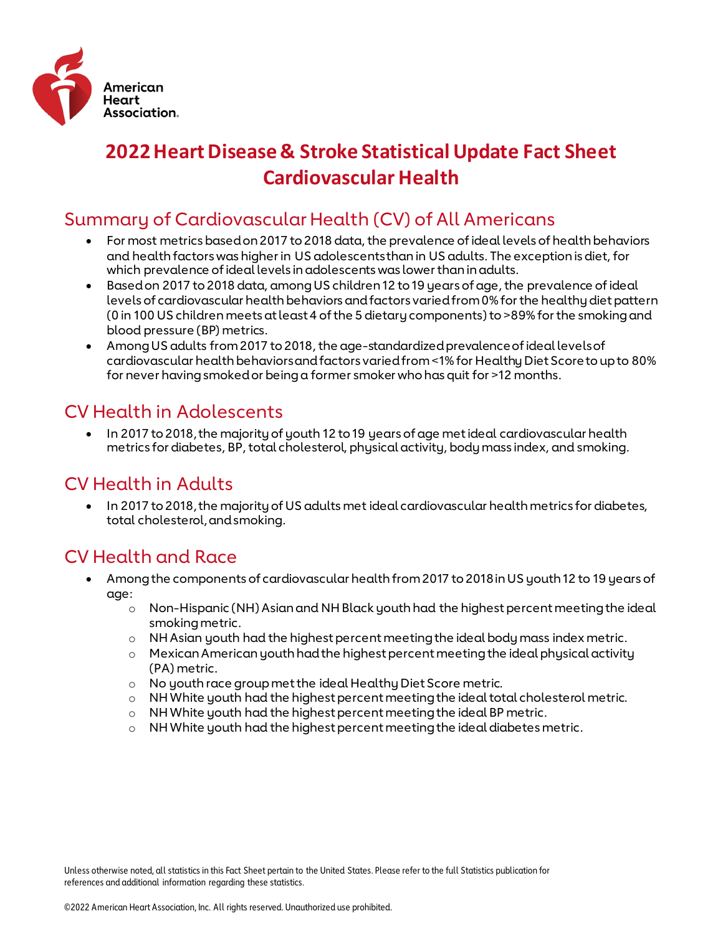

# **2022 Heart Disease & Stroke Statistical Update Fact Sheet Cardiovascular Health**

# Summary of Cardiovascular Health (CV) of All Americans

- For most metrics based on 2017 to 2018 data, the prevalence of ideal levels of health behaviors and health factors was higher in US adolescents than in US adults. The exception is diet, for which prevalence of ideal levels in adolescents was lower than in adults.
- Based on 2017 to 2018 data, among US children 12 to 19 years of age, the prevalence of ideal levels of cardiovascular health behaviors and factors varied from 0% for the healthy diet pattern (0 in 100 US children meets at least 4 of the 5 dietary components) to >89% for the smoking and blood pressure (BP) metrics.
- Among US adults from 2017 to 2018, the age-standardized prevalence of ideal levels of cardiovascular health behaviors and factors varied from <1% for Healthy Diet Score to up to 80% for never having smoked or being a former smoker who has quit for >12 months.

# CV Health in Adolescents

• In 2017 to 2018, the majority of youth 12 to 19 years of age met ideal cardiovascular health metrics for diabetes, BP, total cholesterol, physical activity, body mass index, and smoking.

### CV Health in Adults

• In 2017 to 2018, the majority of US adults met ideal cardiovascular health metrics for diabetes, total cholesterol, and smoking.

### CV Health and Race

- Among the components of cardiovascular health from 2017 to 2018 in US youth 12 to 19 years of age:
	- o Non-Hispanic (NH) Asian and NH Black youth had the highest percent meeting the ideal smoking metric.
	- $\circ$  NH Asian youth had the highest percent meeting the ideal body mass index metric.
	- $\circ$  Mexican American youth had the highest percent meeting the ideal physical activity (PA) metric.
	- o No youth race group met the ideal Healthy Diet Score metric.
	- o NH White youth had the highest percent meeting the ideal total cholesterol metric.
	- o NH White youth had the highest percent meeting the ideal BP metric.
	- o NH White youth had the highest percent meeting the ideal diabetes metric.